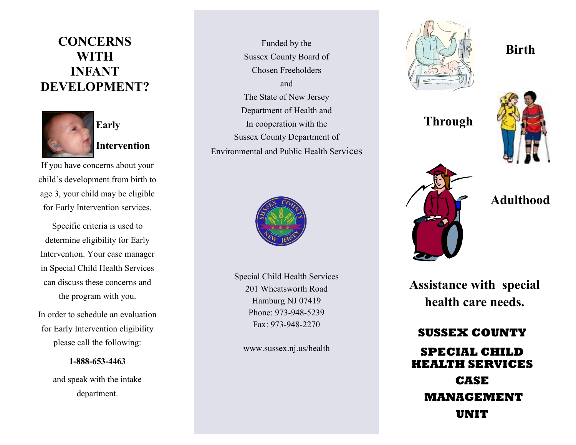### **CONCERNS WITH INFANT DEVELOPMENT?**



**Intervention**

If you have concerns about your child's development from birth to age 3, your child may be eligible for Early Intervention services.

Specific criteria is used to determine eligibility for Early Intervention. Your case manager in Special Child Health Services can discuss these concerns and the program with you.

In order to schedule an evaluation for Early Intervention eligibility please call the following:

**1-888-653-4463**

and speak with the intake department.

Funded by the Sussex County Board of Chosen Freeholders and The State of New Jersey Department of Health and In cooperation with the Sussex County Department of Environmental and Public Health Services



Special Child Health Services 201 Wheatsworth Road Hamburg NJ 07419 Phone: 973-948-5239 Fax: 973-948-2270

www.sussex.nj.us/health



**Through**



**Adulthood**

**Birth** 

**Assistance with special health care needs.**

**SUSSEX COUNTY SPECIAL CHILD HEALTH SERVICES CASE MANAGEMENT UNIT**